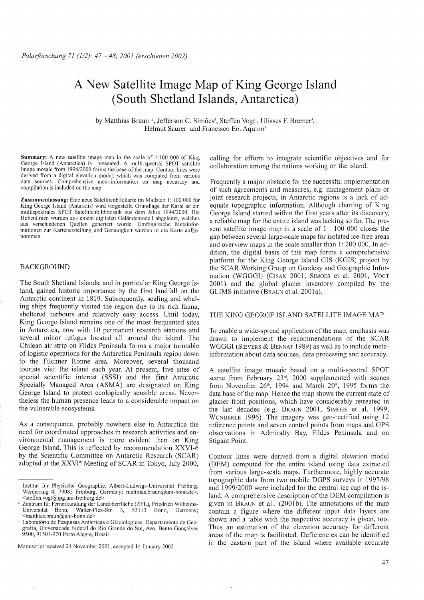# A **New** Satellite **Image Map ofKing George Island (South Shetland Islands, Antarctica)**

by Matthias Braun<sup>12</sup>, Jefferson C. Simões<sup>3</sup>, Steffen Vogt<sup>1</sup>, Ulisses F. Bremer<sup>3</sup>, Helmut Saurer' and Francisco Eo. Aquino'

Summary: A new satellite image map in the scale of 1:100 000 of King George Island (Antarctica) is presented. A multi-spectral SPOT satellite image mosaic from 1994/2000 forms the base of the map. Contour lines were derived from a digital elevation model, which was computed from various data sources. Comprehensive meta-information on map accuracy and compilation is included on the map.

Zusammenfassung: Eine neue Satellitenbildkarte im Maßstab I: 100 000 für King George Island (Antarktis) wird vorgestellt. Grundlage der Karte ist ein multispektrales SPOT Satellitenbildmosaik aus dem Jahre 1994/2000. Die Hohenlinien wurden aus einem digitalen Geländemodell abgeleitet, welches aus verschiedenen Quellen generiert wurde. Umfangreiche Metainformationen zur Kartenerstellung und Genauigkeit wurden in die Karte aufgenommen.

# BACKGROUND

The South Shetland Islands, and in particular King George Island, gained historie importance by the first landfall on the Antarctic continent in 1819. Subsequently, sealing and whaling ships frequently visited the region due to its rich fauna, sheltered harbours and relatively easy access. Until today, King George Island remains one of the most frequented sites in Antarctica, now with 10 permanent research stations and several minor refuges located all around the island. The Chilean air strip on Fildes Peninsula forms a major turntable of logistic operations for the Antarctica Peninsula region down to the Filchner Ronne area. Moreover, several thousand tourists visit the island each year. At present, five sites of special scientific interest (SSSI) and the first Antarctic Specially Managed Area (ASMA) are designated on King George Island to protect ecologically sensible areas. Nevertheless the human presence leads to a considerable impact on the vulnerable ecosystems.

As a consequence, probably nowhere else in Antarctica the need for coordinated approaches in research activities and environmental management is more evident than on King George Island. This is reflected by recommendation XXVI-6 by the Scientific Committee on Antarctic Research (SCAR) adopted at the XXVI'h Meeting of SCAR in Tokyo, July 2000,

Manuscript received 21 November 2001, accepted 14 January 2002

calling for efforts to integrate scientific objectives and for collaboration among the nations working on the island.

Frequently a major obstacle for the successful implementation of such agreements and measures, e.g. management plans or joint research projects, in Antarctic regions is a lack of adequate topographie information. Although charting of King George Island started within the first years after its discovery, a reliable map for the entire island was lacking so far. The present satellite image map in ascale of I : 100 000 closes the gap between severallarge-scale maps for isolated ice-free areas and overview maps in the scale smaller than 1: 200 000. In addition, the digital basis of this map forms a comprehensive platform for the King George Island GIS (KGIS) project by the SCAR Working Group on Geodesy and Geographie Information (WGGGI) (CISAK 2001, SIMOES et al. 2001, VOGT 2001) and the global glacier inventory compiled by the GLIMS initiative (BRAUN et al. 2001a).

## THE KING GEORGE ISLAND SATELLITE IMAGE MAP

To enable a wide-spread application of the map, emphasis was drawn to implement the recommendations of the SCAR WGGGI (SIEVERS & BENNAT 1989) as well as to include metainformation about data sourees, data processing and accuracy.

A satellite image mosaic based on a multi-spectral SPOT scene from February  $23<sup>rd</sup>$ ,  $2000$  supplemented with scenes from November  $26<sup>th</sup>$ , 1994 and March  $20<sup>th</sup>$ , 1995 forms the data base of the map. Hence the map shows the current state of glacier front positions, which have considerably retreated in the last decades (e.g. BRAUN 2001, SIMOES et al. 1999, WUNDERLE 1996). The imagery was geo-rectified using 12 reference points and seven control points from maps and GPS observations in Admiralty Bay, Fildes Peninsula and on Stigant Point.

Contour lines were derived from a digital elevation model (DEM) computed for the entire island using data extracted from various large-scale maps. Furthermore, highly accurate topographie data from two mobile DGPS surveys in 1997/98 and 1999/2000 were included for the central ice cap of the island. A comprehensive description of the DEM compilation is given in BRAUN et al.. (2001b). The annotations of the map contain a figure where the different input data layers are shown and a table with the respective accuracy is given, too. Thus an estimation of the elevation accuracy for different areas of the map is facilitated. Deficiencies can be identified in the eastern part of the island where available accurate

<sup>I</sup> Institut für Physische Geographie, Albert-Ludwigs-Universität Freiburg, Werderring 4, 79085 Freiburg, Germany; matthias.braun@uni-bonn.de>, <steffen.vogt@ipg.uni-freiburg.de>

<sup>2</sup> Zentrum für Fernerkundung der Landoberfläche (ZFL), Friedrich Wilhelms-Walter-Flex-Str. 3, 53113 Bonn, Germany; <matthias.braun@uni-bonn.de>

Laboratório de Pesquisas Antárticas e Glaciologicas, Departamento de Geografia, Universidade Federal do Rio Grande do Sui, Avo. Bento Goncalves 9500, 91501-970 Porto Alegre, Brazil